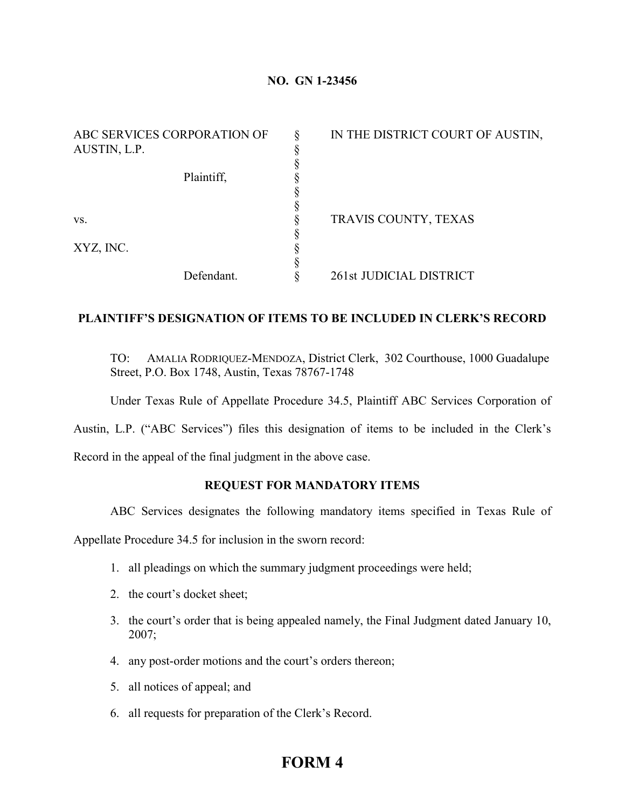## **NO. GN 1-23456**

| ABC SERVICES CORPORATION OF<br>AUSTIN, L.P. | IN THE DISTRICT COURT OF AUSTIN, |
|---------------------------------------------|----------------------------------|
| Plaintiff,                                  |                                  |
| VS.                                         | TRAVIS COUNTY, TEXAS             |
| XYZ, INC.                                   |                                  |
| Defendant.                                  | 261st JUDICIAL DISTRICT          |

## **PLAINTIFF'S DESIGNATION OF ITEMS TO BE INCLUDED IN CLERK'S RECORD**

TO: AMALIA RODRIQUEZ-MENDOZA, District Clerk, 302 Courthouse, 1000 Guadalupe Street, P.O. Box 1748, Austin, Texas 78767-1748

Under Texas Rule of Appellate Procedure 34.5, Plaintiff ABC Services Corporation of

Austin, L.P. ("ABC Services") files this designation of items to be included in the Clerk's

Record in the appeal of the final judgment in the above case.

## **REQUEST FOR MANDATORY ITEMS**

ABC Services designates the following mandatory items specified in Texas Rule of

Appellate Procedure 34.5 for inclusion in the sworn record:

- 1. all pleadings on which the summary judgment proceedings were held;
- 2. the court's docket sheet;
- 3. the court's order that is being appealed namely, the Final Judgment dated January 10, 2007;
- 4. any post-order motions and the court's orders thereon;
- 5. all notices of appeal; and
- 6. all requests for preparation of the Clerk's Record.

# **FORM 4**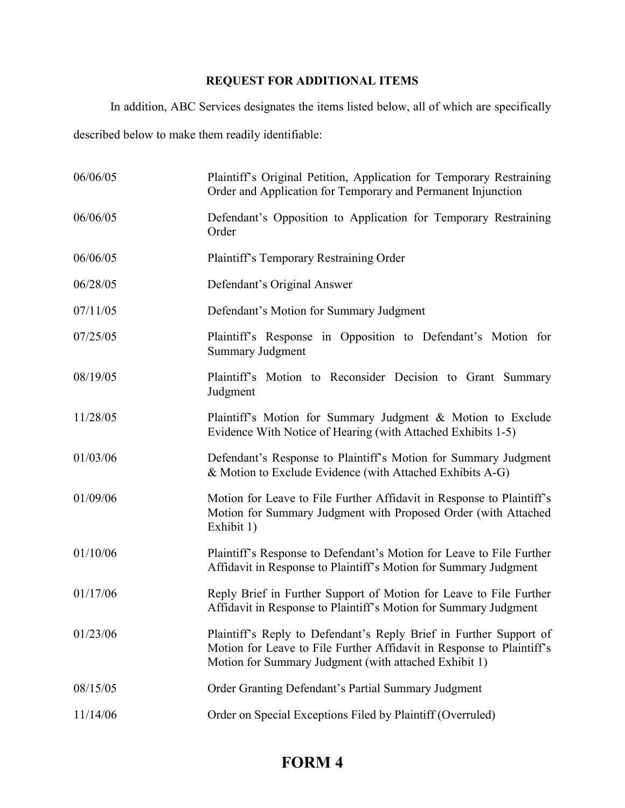## **REQUEST FOR ADDITIONAL ITEMS**

In addition, ABC Services designates the items listed below, all of which are specifically described below to make them readily identifiable:

| 06/06/05 | Plaintiff's Original Petition, Application for Temporary Restraining<br>Order and Application for Temporary and Permanent Injunction                                                                 |
|----------|------------------------------------------------------------------------------------------------------------------------------------------------------------------------------------------------------|
| 06/06/05 | Defendant's Opposition to Application for Temporary Restraining<br>Order                                                                                                                             |
| 06/06/05 | Plaintiff's Temporary Restraining Order                                                                                                                                                              |
| 06/28/05 | Defendant's Original Answer                                                                                                                                                                          |
| 07/11/05 | Defendant's Motion for Summary Judgment                                                                                                                                                              |
| 07/25/05 | Plaintiff's Response in Opposition to Defendant's Motion for<br><b>Summary Judgment</b>                                                                                                              |
| 08/19/05 | Plaintiff's Motion to Reconsider Decision to Grant Summary<br>Judgment                                                                                                                               |
| 11/28/05 | Plaintiff's Motion for Summary Judgment & Motion to Exclude<br>Evidence With Notice of Hearing (with Attached Exhibits 1-5)                                                                          |
| 01/03/06 | Defendant's Response to Plaintiff's Motion for Summary Judgment<br>& Motion to Exclude Evidence (with Attached Exhibits A-G)                                                                         |
| 01/09/06 | Motion for Leave to File Further Affidavit in Response to Plaintiff's<br>Motion for Summary Judgment with Proposed Order (with Attached<br>Exhibit 1)                                                |
| 01/10/06 | Plaintiff's Response to Defendant's Motion for Leave to File Further<br>Affidavit in Response to Plaintiff's Motion for Summary Judgment                                                             |
| 01/17/06 | Reply Brief in Further Support of Motion for Leave to File Further<br>Affidavit in Response to Plaintiff's Motion for Summary Judgment                                                               |
| 01/23/06 | Plaintiff's Reply to Defendant's Reply Brief in Further Support of<br>Motion for Leave to File Further Affidavit in Response to Plaintiff's<br>Motion for Summary Judgment (with attached Exhibit 1) |
| 08/15/05 | Order Granting Defendant's Partial Summary Judgment                                                                                                                                                  |
| 11/14/06 | Order on Special Exceptions Filed by Plaintiff (Overruled)                                                                                                                                           |

# **FORM 4**